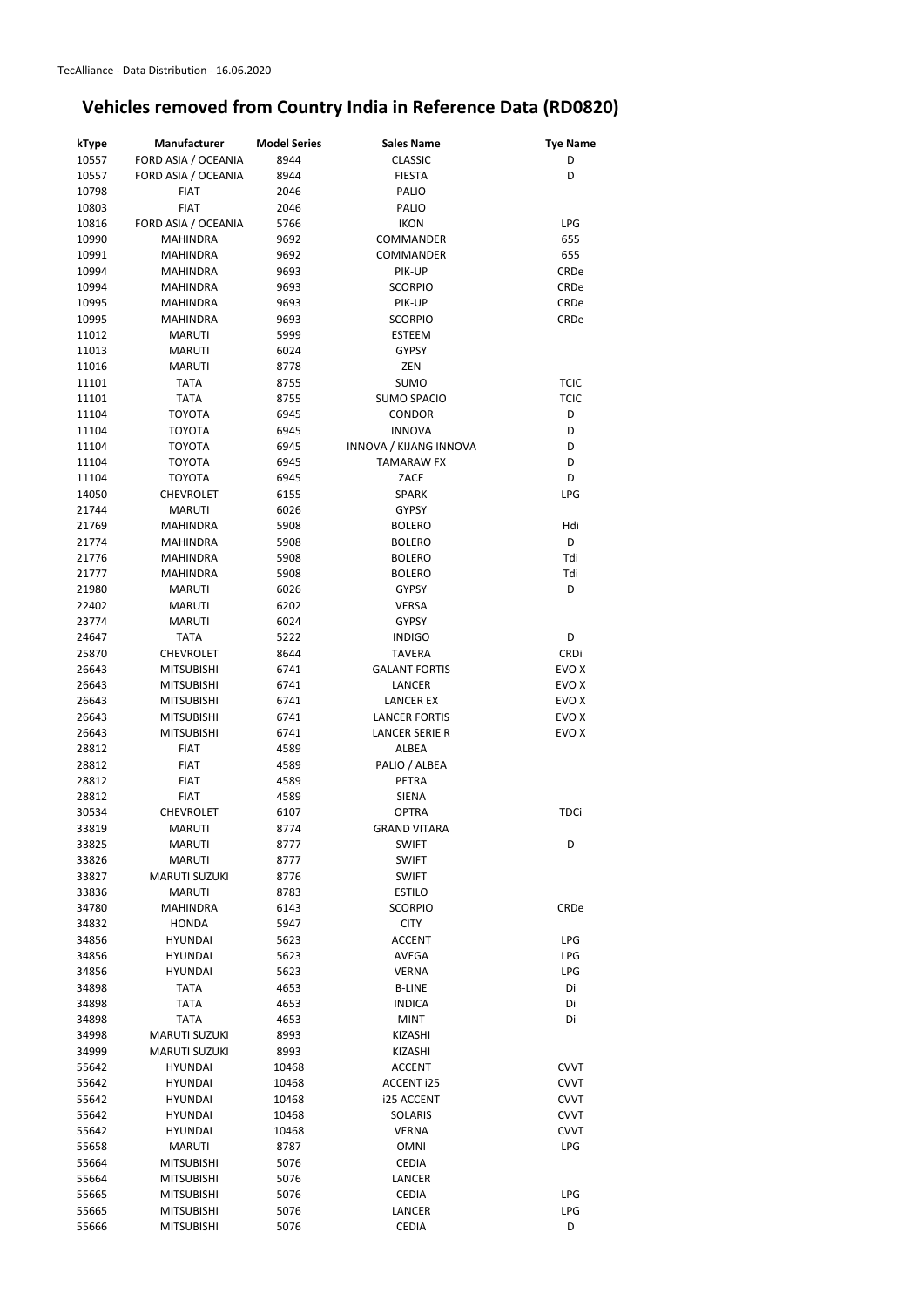| kType | Manufacturer         | <b>Model Series</b> | <b>Sales Name</b>      | <b>Tye Name</b> |
|-------|----------------------|---------------------|------------------------|-----------------|
| 10557 | FORD ASIA / OCEANIA  | 8944                | <b>CLASSIC</b>         | D               |
| 10557 | FORD ASIA / OCEANIA  | 8944                | <b>FIESTA</b>          | D               |
| 10798 | <b>FIAT</b>          | 2046                | PALIO                  |                 |
| 10803 | <b>FIAT</b>          | 2046                | <b>PALIO</b>           |                 |
| 10816 | FORD ASIA / OCEANIA  | 5766                | <b>IKON</b>            | <b>LPG</b>      |
| 10990 | <b>MAHINDRA</b>      | 9692                | COMMANDER              | 655             |
| 10991 | <b>MAHINDRA</b>      | 9692                | COMMANDER              | 655             |
| 10994 | <b>MAHINDRA</b>      | 9693                | PIK-UP                 | CRDe            |
|       |                      |                     | <b>SCORPIO</b>         |                 |
| 10994 | <b>MAHINDRA</b>      | 9693                |                        | CRDe            |
| 10995 | <b>MAHINDRA</b>      | 9693                | PIK-UP                 | CRDe            |
| 10995 | <b>MAHINDRA</b>      | 9693                | <b>SCORPIO</b>         | CRDe            |
| 11012 | <b>MARUTI</b>        | 5999                | <b>ESTEEM</b>          |                 |
| 11013 | <b>MARUTI</b>        | 6024                | <b>GYPSY</b>           |                 |
| 11016 | <b>MARUTI</b>        | 8778                | ZEN                    |                 |
| 11101 | <b>TATA</b>          | 8755                | <b>SUMO</b>            | <b>TCIC</b>     |
| 11101 | <b>TATA</b>          | 8755                | <b>SUMO SPACIO</b>     | <b>TCIC</b>     |
| 11104 | <b>TOYOTA</b>        | 6945                | <b>CONDOR</b>          | D               |
| 11104 | <b>TOYOTA</b>        | 6945                | <b>INNOVA</b>          | D               |
| 11104 | <b>TOYOTA</b>        | 6945                | INNOVA / KIJANG INNOVA | D               |
| 11104 | <b>TOYOTA</b>        | 6945                | <b>TAMARAW FX</b>      | D               |
| 11104 | <b>TOYOTA</b>        | 6945                | ZACE                   | D               |
| 14050 | <b>CHEVROLET</b>     | 6155                | <b>SPARK</b>           | <b>LPG</b>      |
| 21744 | <b>MARUTI</b>        | 6026                | <b>GYPSY</b>           |                 |
| 21769 | <b>MAHINDRA</b>      | 5908                | <b>BOLERO</b>          | Hdi             |
| 21774 | <b>MAHINDRA</b>      | 5908                | <b>BOLERO</b>          | D               |
| 21776 | <b>MAHINDRA</b>      | 5908                | <b>BOLERO</b>          | Tdi             |
| 21777 | <b>MAHINDRA</b>      | 5908                | <b>BOLERO</b>          | Tdi             |
|       |                      |                     |                        | D               |
| 21980 | <b>MARUTI</b>        | 6026                | <b>GYPSY</b>           |                 |
| 22402 | <b>MARUTI</b>        | 6202                | <b>VERSA</b>           |                 |
| 23774 | <b>MARUTI</b>        | 6024                | <b>GYPSY</b>           |                 |
| 24647 | <b>TATA</b>          | 5222                | <b>INDIGO</b>          | D               |
| 25870 | <b>CHEVROLET</b>     | 8644                | <b>TAVERA</b>          | <b>CRDi</b>     |
| 26643 | <b>MITSUBISHI</b>    | 6741                | <b>GALANT FORTIS</b>   | EVO X           |
| 26643 | <b>MITSUBISHI</b>    | 6741                | <b>LANCER</b>          | EVO X           |
| 26643 | <b>MITSUBISHI</b>    | 6741                | <b>LANCER EX</b>       | EVO X           |
| 26643 | <b>MITSUBISHI</b>    | 6741                | <b>LANCER FORTIS</b>   | EVO X           |
| 26643 | <b>MITSUBISHI</b>    | 6741                | LANCER SERIE R         | EVO X           |
| 28812 | <b>FIAT</b>          | 4589                | <b>ALBEA</b>           |                 |
| 28812 | <b>FIAT</b>          | 4589                | PALIO / ALBEA          |                 |
| 28812 | <b>FIAT</b>          | 4589                | PETRA                  |                 |
| 28812 | <b>FIAT</b>          | 4589                | <b>SIENA</b>           |                 |
| 30534 | <b>CHEVROLET</b>     | 6107                | <b>OPTRA</b>           | <b>TDCi</b>     |
| 33819 | <b>MARUTI</b>        | 8774                | <b>GRAND VITARA</b>    |                 |
| 33825 | <b>MARUTI</b>        | 8777                | <b>SWIFT</b>           | D               |
| 33826 | <b>MARUTI</b>        | 8777                | <b>SWIFT</b>           |                 |
| 33827 | <b>MARUTI SUZUKI</b> | 8776                | <b>SWIFT</b>           |                 |
| 33836 | <b>MARUTI</b>        | 8783                | <b>ESTILO</b>          |                 |
| 34780 | <b>MAHINDRA</b>      | 6143                | <b>SCORPIO</b>         | CRDe            |
| 34832 | <b>HONDA</b>         | 5947                | <b>CITY</b>            |                 |
|       |                      |                     |                        |                 |
| 34856 | <b>HYUNDAI</b>       | 5623                | <b>ACCENT</b>          | <b>LPG</b>      |
| 34856 | <b>HYUNDAI</b>       | 5623                | AVEGA                  | <b>LPG</b>      |
| 34856 | <b>HYUNDAI</b>       | 5623                | <b>VERNA</b>           | <b>LPG</b>      |
| 34898 | <b>TATA</b>          | 4653                | <b>B-LINE</b>          | Di              |
| 34898 | <b>TATA</b>          | 4653                | <b>INDICA</b>          | Di              |
| 34898 | <b>TATA</b>          | 4653                | <b>MINT</b>            | Di              |
| 34998 | <b>MARUTI SUZUKI</b> | 8993                | <b>KIZASHI</b>         |                 |
| 34999 | <b>MARUTI SUZUKI</b> | 8993                | <b>KIZASHI</b>         |                 |
| 55642 | <b>HYUNDAI</b>       | 10468               | <b>ACCENT</b>          | <b>CVVT</b>     |
| 55642 | <b>HYUNDAI</b>       | 10468               | <b>ACCENT i25</b>      | <b>CVVT</b>     |
| 55642 | <b>HYUNDAI</b>       | 10468               | i25 ACCENT             | <b>CVVT</b>     |
| 55642 | <b>HYUNDAI</b>       | 10468               | <b>SOLARIS</b>         | <b>CVVT</b>     |
| 55642 | <b>HYUNDAI</b>       | 10468               | <b>VERNA</b>           | <b>CVVT</b>     |
| 55658 | <b>MARUTI</b>        | 8787                | <b>OMNI</b>            | <b>LPG</b>      |
| 55664 | <b>MITSUBISHI</b>    | 5076                | <b>CEDIA</b>           |                 |
| 55664 | <b>MITSUBISHI</b>    | 5076                | <b>LANCER</b>          |                 |
| 55665 | <b>MITSUBISHI</b>    | 5076                | <b>CEDIA</b>           | <b>LPG</b>      |
|       |                      |                     |                        |                 |
| 55665 | <b>MITSUBISHI</b>    | 5076                | <b>LANCER</b>          | <b>LPG</b>      |
| 55666 | <b>MITSUBISHI</b>    | 5076                | <b>CEDIA</b>           | D               |

## **Vehicles removed from Country India in Reference Data (RD0820)**